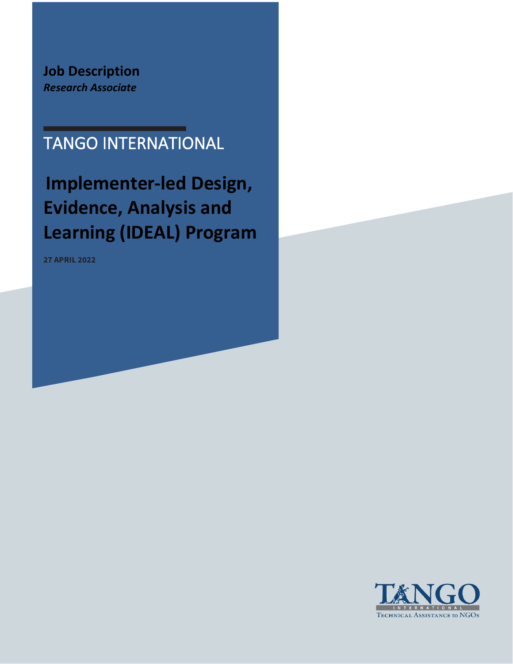**Job Description**  *Research Associate*

# TANGO INTERNATIONAL

**Implementer-led Design, Evidence, Analysis and Learning (IDEAL) Program**

**27 APRIL 2022**

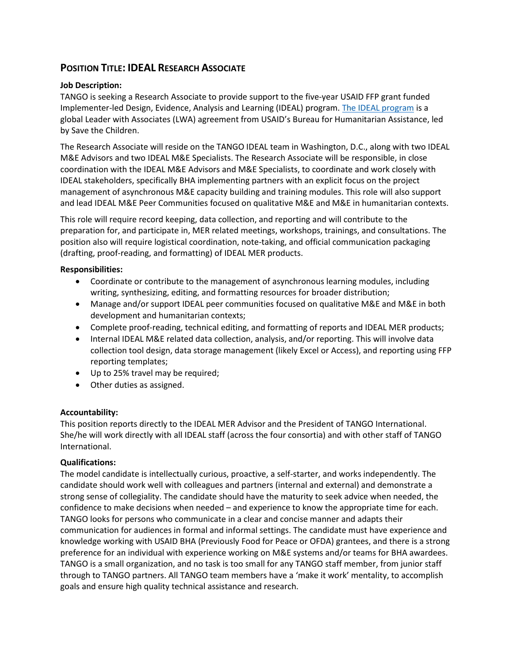# **POSITION TITLE: IDEAL RESEARCH ASSOCIATE**

## **Job Description:**

TANGO is seeking a Research Associate to provide support to the five-year USAID FFP grant funded Implementer-led Design, Evidence, Analysis and Learning (IDEAL) program. [The IDEAL program](https://www.fsnnetwork.org/IDEAL) is a global Leader with Associates (LWA) agreement from USAID's Bureau for Humanitarian Assistance, led by Save the Children.

The Research Associate will reside on the TANGO IDEAL team in Washington, D.C., along with two IDEAL M&E Advisors and two IDEAL M&E Specialists. The Research Associate will be responsible, in close coordination with the IDEAL M&E Advisors and M&E Specialists, to coordinate and work closely with IDEAL stakeholders, specifically BHA implementing partners with an explicit focus on the project management of asynchronous M&E capacity building and training modules. This role will also support and lead IDEAL M&E Peer Communities focused on qualitative M&E and M&E in humanitarian contexts.

This role will require record keeping, data collection, and reporting and will contribute to the preparation for, and participate in, MER related meetings, workshops, trainings, and consultations. The position also will require logistical coordination, note-taking, and official communication packaging (drafting, proof-reading, and formatting) of IDEAL MER products.

### **Responsibilities:**

- Coordinate or contribute to the management of asynchronous learning modules, including writing, synthesizing, editing, and formatting resources for broader distribution;
- Manage and/or support IDEAL peer communities focused on qualitative M&E and M&E in both development and humanitarian contexts;
- Complete proof-reading, technical editing, and formatting of reports and IDEAL MER products;
- Internal IDEAL M&E related data collection, analysis, and/or reporting. This will involve data collection tool design, data storage management (likely Excel or Access), and reporting using FFP reporting templates;
- Up to 25% travel may be required;
- Other duties as assigned.

# **Accountability:**

This position reports directly to the IDEAL MER Advisor and the President of TANGO International. She/he will work directly with all IDEAL staff (across the four consortia) and with other staff of TANGO International.

# **Qualifications:**

The model candidate is intellectually curious, proactive, a self-starter, and works independently. The candidate should work well with colleagues and partners (internal and external) and demonstrate a strong sense of collegiality. The candidate should have the maturity to seek advice when needed, the confidence to make decisions when needed – and experience to know the appropriate time for each. TANGO looks for persons who communicate in a clear and concise manner and adapts their communication for audiences in formal and informal settings. The candidate must have experience and knowledge working with USAID BHA (Previously Food for Peace or OFDA) grantees, and there is a strong preference for an individual with experience working on M&E systems and/or teams for BHA awardees. TANGO is a small organization, and no task is too small for any TANGO staff member, from junior staff through to TANGO partners. All TANGO team members have a 'make it work' mentality, to accomplish goals and ensure high quality technical assistance and research.